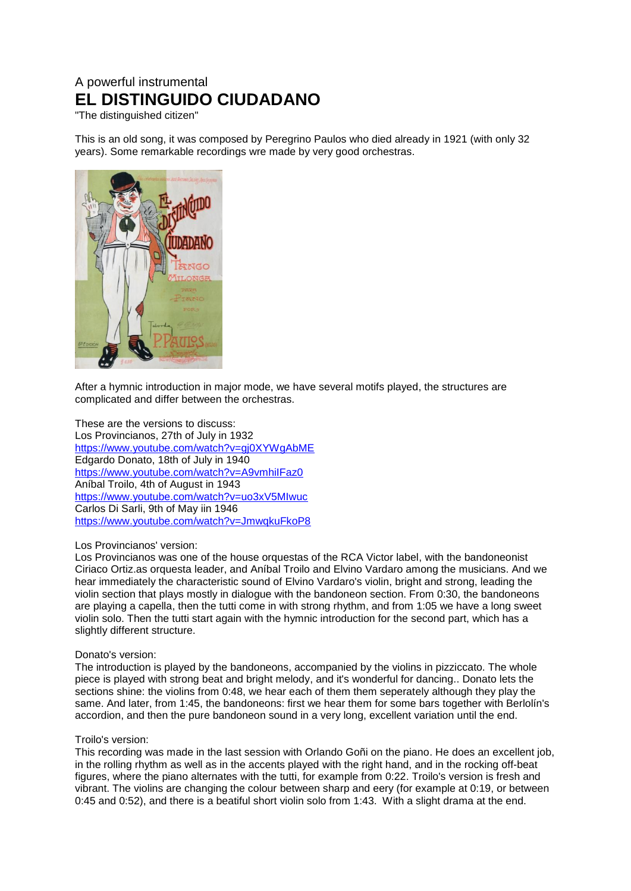# A powerful instrumental **EL DISTINGUIDO CIUDADANO**

"The distinguished citizen"

This is an old song, it was composed by Peregrino Paulos who died already in 1921 (with only 32 years). Some remarkable recordings wre made by very good orchestras.



After a hymnic introduction in major mode, we have several motifs played, the structures are complicated and differ between the orchestras.

These are the versions to discuss: Los Provincianos, 27th of July in 1932 <https://www.youtube.com/watch?v=gj0XYWgAbME> Edgardo Donato, 18th of July in 1940 <https://www.youtube.com/watch?v=A9vmhiIFaz0> Aníbal Troilo, 4th of August in 1943 <https://www.youtube.com/watch?v=uo3xV5MIwuc> Carlos Di Sarli, 9th of May iin 1946 <https://www.youtube.com/watch?v=JmwqkuFkoP8>

## Los Provincianos' version:

Los Provincianos was one of the house orquestas of the RCA Victor label, with the bandoneonist Ciriaco Ortiz.as orquesta leader, and Aníbal Troilo and Elvino Vardaro among the musicians. And we hear immediately the characteristic sound of Elvino Vardaro's violin, bright and strong, leading the violin section that plays mostly in dialogue with the bandoneon section. From 0:30, the bandoneons are playing a capella, then the tutti come in with strong rhythm, and from 1:05 we have a long sweet violin solo. Then the tutti start again with the hymnic introduction for the second part, which has a slightly different structure.

## Donato's version:

The introduction is played by the bandoneons, accompanied by the violins in pizziccato. The whole piece is played with strong beat and bright melody, and it's wonderful for dancing.. Donato lets the sections shine: the violins from 0:48, we hear each of them them seperately although they play the same. And later, from 1:45, the bandoneons: first we hear them for some bars together with Berlolín's accordion, and then the pure bandoneon sound in a very long, excellent variation until the end.

## Troilo's version:

This recording was made in the last session with Orlando Goñi on the piano. He does an excellent job, in the rolling rhythm as well as in the accents played with the right hand, and in the rocking off-beat figures, where the piano alternates with the tutti, for example from 0:22. Troilo's version is fresh and vibrant. The violins are changing the colour between sharp and eery (for example at 0:19, or between 0:45 and 0:52), and there is a beatiful short violin solo from 1:43. With a slight drama at the end.